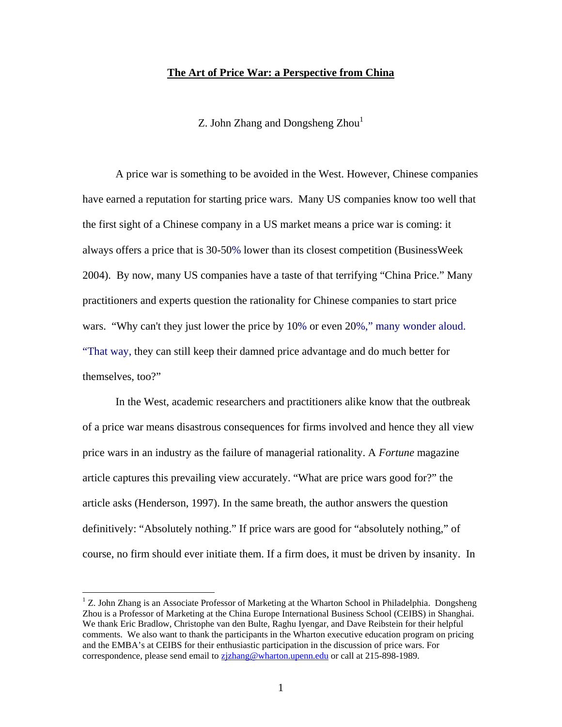## **The Art of Price War: a Perspective from China**

Z. John Zhang and Dongsheng  $Zhou<sup>1</sup>$ 

A price war is something to be avoided in the West. However, Chinese companies have earned a reputation for starting price wars. Many US companies know too well that the first sight of a Chinese company in a US market means a price war is coming: it always offers a price that is 30-50% lower than its closest competition (BusinessWeek 2004). By now, many US companies have a taste of that terrifying "China Price." Many practitioners and experts question the rationality for Chinese companies to start price wars. "Why can't they just lower the price by 10% or even 20%," many wonder aloud. "That way, they can still keep their damned price advantage and do much better for themselves, too?"

In the West, academic researchers and practitioners alike know that the outbreak of a price war means disastrous consequences for firms involved and hence they all view price wars in an industry as the failure of managerial rationality. A *Fortune* magazine article captures this prevailing view accurately. "What are price wars good for?" the article asks (Henderson, 1997). In the same breath, the author answers the question definitively: "Absolutely nothing." If price wars are good for "absolutely nothing," of course, no firm should ever initiate them. If a firm does, it must be driven by insanity. In

 $\overline{a}$ 

<sup>&</sup>lt;sup>1</sup> Z. John Zhang is an Associate Professor of Marketing at the Wharton School in Philadelphia. Dongsheng Zhou is a Professor of Marketing at the China Europe International Business School (CEIBS) in Shanghai. We thank Eric Bradlow, Christophe van den Bulte, Raghu Iyengar, and Dave Reibstein for their helpful comments. We also want to thank the participants in the Wharton executive education program on pricing and the EMBA's at CEIBS for their enthusiastic participation in the discussion of price wars. For correspondence, please send email to **zizhang@wharton.upenn.edu** or call at 215-898-1989.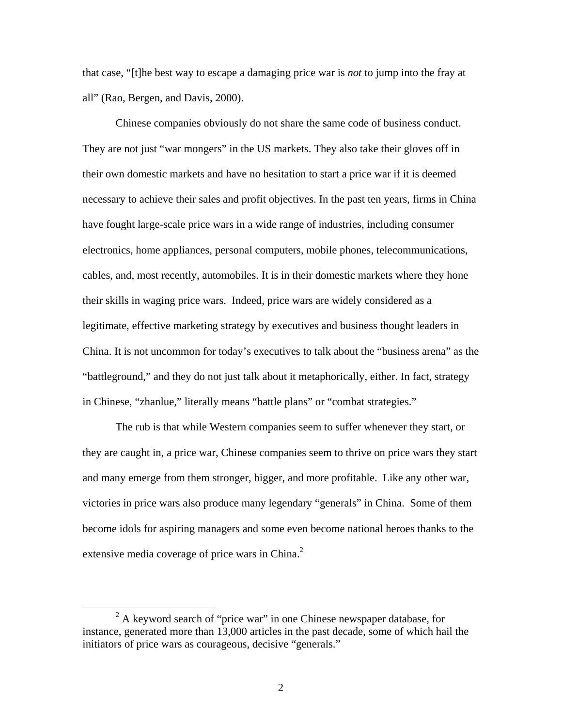that case, "[t]he best way to escape a damaging price war is *not* to jump into the fray at all" (Rao, Bergen, and Davis, 2000).

Chinese companies obviously do not share the same code of business conduct. They are not just "war mongers" in the US markets. They also take their gloves off in their own domestic markets and have no hesitation to start a price war if it is deemed necessary to achieve their sales and profit objectives. In the past ten years, firms in China have fought large-scale price wars in a wide range of industries, including consumer electronics, home appliances, personal computers, mobile phones, telecommunications, cables, and, most recently, automobiles. It is in their domestic markets where they hone their skills in waging price wars. Indeed, price wars are widely considered as a legitimate, effective marketing strategy by executives and business thought leaders in China. It is not uncommon for today's executives to talk about the "business arena" as the "battleground," and they do not just talk about it metaphorically, either. In fact, strategy in Chinese, "zhanlue," literally means "battle plans" or "combat strategies."

The rub is that while Western companies seem to suffer whenever they start, or they are caught in, a price war, Chinese companies seem to thrive on price wars they start and many emerge from them stronger, bigger, and more profitable. Like any other war, victories in price wars also produce many legendary "generals" in China. Some of them become idols for aspiring managers and some even become national heroes thanks to the extensive media coverage of price wars in China. $2$ 

 <sup>2</sup> <sup>2</sup> A keyword search of "price war" in one Chinese newspaper database, for instance, generated more than 13,000 articles in the past decade, some of which hail the initiators of price wars as courageous, decisive "generals."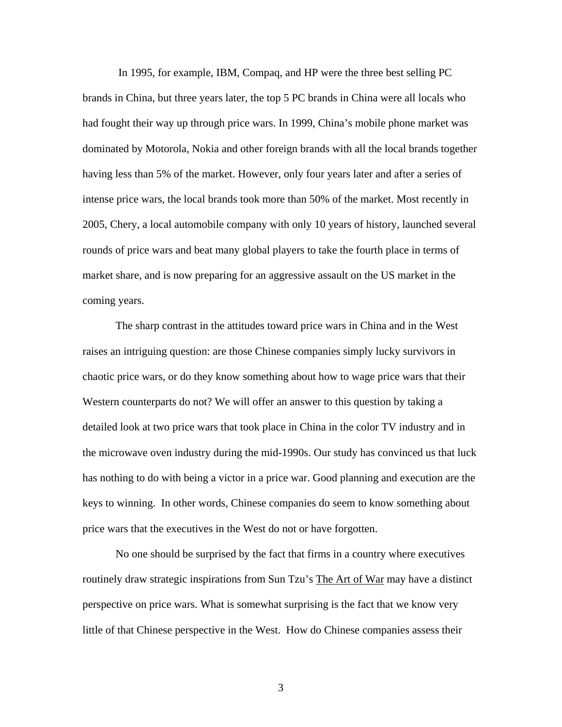In 1995, for example, IBM, Compaq, and HP were the three best selling PC brands in China, but three years later, the top 5 PC brands in China were all locals who had fought their way up through price wars. In 1999, China's mobile phone market was dominated by Motorola, Nokia and other foreign brands with all the local brands together having less than 5% of the market. However, only four years later and after a series of intense price wars, the local brands took more than 50% of the market. Most recently in 2005, Chery, a local automobile company with only 10 years of history, launched several rounds of price wars and beat many global players to take the fourth place in terms of market share, and is now preparing for an aggressive assault on the US market in the coming years.

The sharp contrast in the attitudes toward price wars in China and in the West raises an intriguing question: are those Chinese companies simply lucky survivors in chaotic price wars, or do they know something about how to wage price wars that their Western counterparts do not? We will offer an answer to this question by taking a detailed look at two price wars that took place in China in the color TV industry and in the microwave oven industry during the mid-1990s. Our study has convinced us that luck has nothing to do with being a victor in a price war. Good planning and execution are the keys to winning. In other words, Chinese companies do seem to know something about price wars that the executives in the West do not or have forgotten.

No one should be surprised by the fact that firms in a country where executives routinely draw strategic inspirations from Sun Tzu's The Art of War may have a distinct perspective on price wars. What is somewhat surprising is the fact that we know very little of that Chinese perspective in the West. How do Chinese companies assess their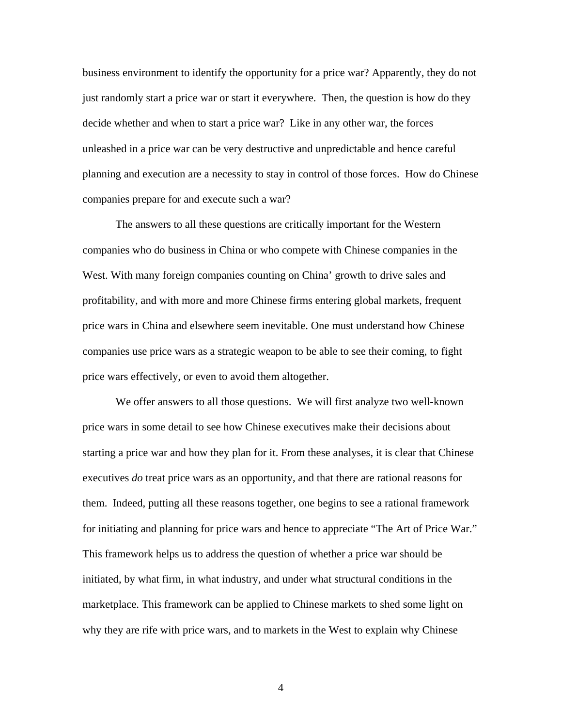business environment to identify the opportunity for a price war? Apparently, they do not just randomly start a price war or start it everywhere. Then, the question is how do they decide whether and when to start a price war? Like in any other war, the forces unleashed in a price war can be very destructive and unpredictable and hence careful planning and execution are a necessity to stay in control of those forces. How do Chinese companies prepare for and execute such a war?

The answers to all these questions are critically important for the Western companies who do business in China or who compete with Chinese companies in the West. With many foreign companies counting on China' growth to drive sales and profitability, and with more and more Chinese firms entering global markets, frequent price wars in China and elsewhere seem inevitable. One must understand how Chinese companies use price wars as a strategic weapon to be able to see their coming, to fight price wars effectively, or even to avoid them altogether.

We offer answers to all those questions. We will first analyze two well-known price wars in some detail to see how Chinese executives make their decisions about starting a price war and how they plan for it. From these analyses, it is clear that Chinese executives *do* treat price wars as an opportunity, and that there are rational reasons for them. Indeed, putting all these reasons together, one begins to see a rational framework for initiating and planning for price wars and hence to appreciate "The Art of Price War." This framework helps us to address the question of whether a price war should be initiated, by what firm, in what industry, and under what structural conditions in the marketplace. This framework can be applied to Chinese markets to shed some light on why they are rife with price wars, and to markets in the West to explain why Chinese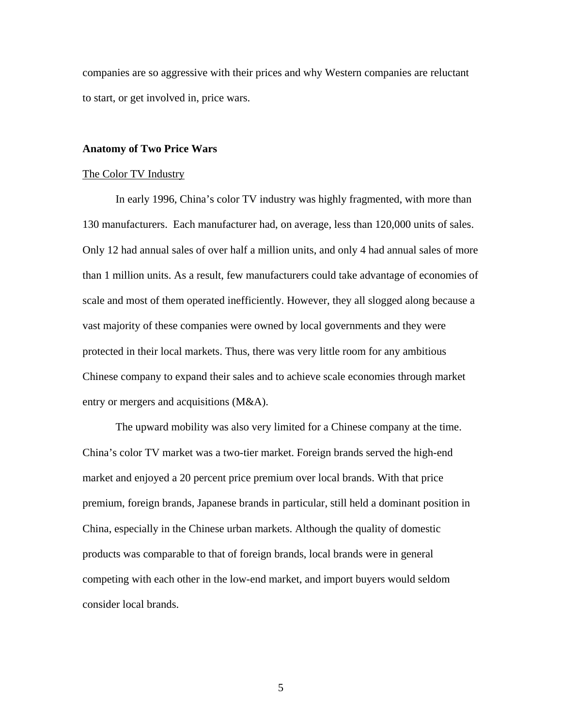companies are so aggressive with their prices and why Western companies are reluctant to start, or get involved in, price wars.

## **Anatomy of Two Price Wars**

### The Color TV Industry

In early 1996, China's color TV industry was highly fragmented, with more than 130 manufacturers. Each manufacturer had, on average, less than 120,000 units of sales. Only 12 had annual sales of over half a million units, and only 4 had annual sales of more than 1 million units. As a result, few manufacturers could take advantage of economies of scale and most of them operated inefficiently. However, they all slogged along because a vast majority of these companies were owned by local governments and they were protected in their local markets. Thus, there was very little room for any ambitious Chinese company to expand their sales and to achieve scale economies through market entry or mergers and acquisitions (M&A).

The upward mobility was also very limited for a Chinese company at the time. China's color TV market was a two-tier market. Foreign brands served the high-end market and enjoyed a 20 percent price premium over local brands. With that price premium, foreign brands, Japanese brands in particular, still held a dominant position in China, especially in the Chinese urban markets. Although the quality of domestic products was comparable to that of foreign brands, local brands were in general competing with each other in the low-end market, and import buyers would seldom consider local brands.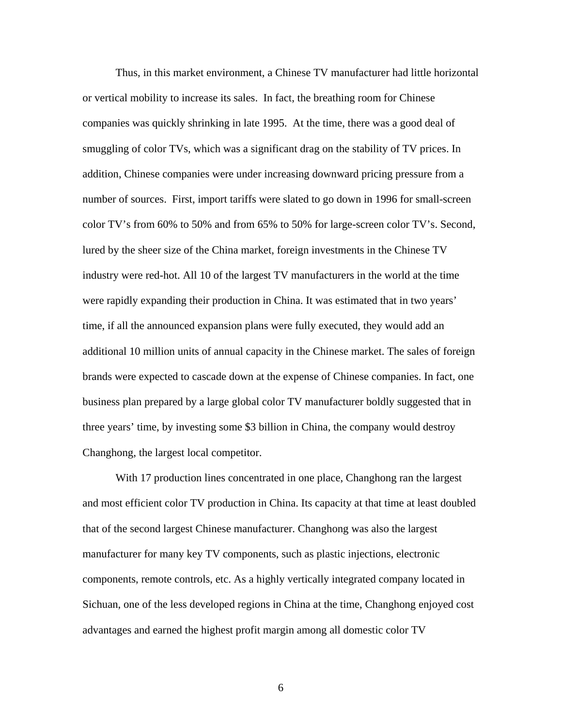Thus, in this market environment, a Chinese TV manufacturer had little horizontal or vertical mobility to increase its sales. In fact, the breathing room for Chinese companies was quickly shrinking in late 1995. At the time, there was a good deal of smuggling of color TVs, which was a significant drag on the stability of TV prices. In addition, Chinese companies were under increasing downward pricing pressure from a number of sources. First, import tariffs were slated to go down in 1996 for small-screen color TV's from 60% to 50% and from 65% to 50% for large-screen color TV's. Second, lured by the sheer size of the China market, foreign investments in the Chinese TV industry were red-hot. All 10 of the largest TV manufacturers in the world at the time were rapidly expanding their production in China. It was estimated that in two years' time, if all the announced expansion plans were fully executed, they would add an additional 10 million units of annual capacity in the Chinese market. The sales of foreign brands were expected to cascade down at the expense of Chinese companies. In fact, one business plan prepared by a large global color TV manufacturer boldly suggested that in three years' time, by investing some \$3 billion in China, the company would destroy Changhong, the largest local competitor.

With 17 production lines concentrated in one place, Changhong ran the largest and most efficient color TV production in China. Its capacity at that time at least doubled that of the second largest Chinese manufacturer. Changhong was also the largest manufacturer for many key TV components, such as plastic injections, electronic components, remote controls, etc. As a highly vertically integrated company located in Sichuan, one of the less developed regions in China at the time, Changhong enjoyed cost advantages and earned the highest profit margin among all domestic color TV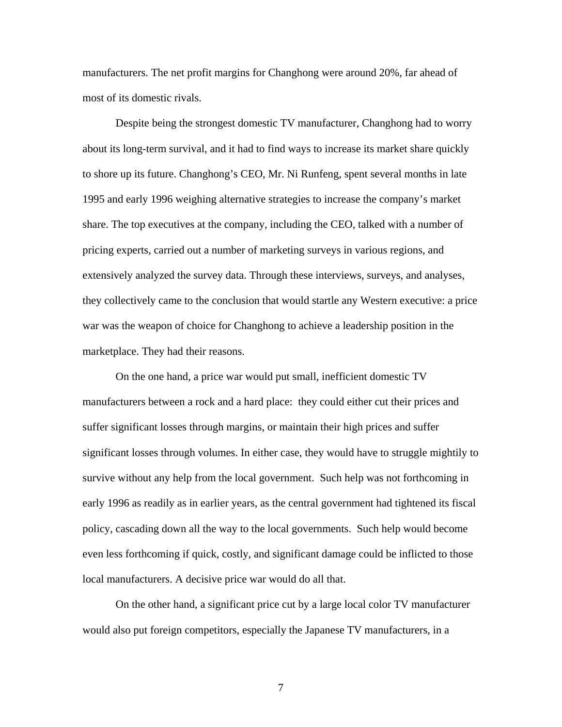manufacturers. The net profit margins for Changhong were around 20%, far ahead of most of its domestic rivals.

 Despite being the strongest domestic TV manufacturer, Changhong had to worry about its long-term survival, and it had to find ways to increase its market share quickly to shore up its future. Changhong's CEO, Mr. Ni Runfeng, spent several months in late 1995 and early 1996 weighing alternative strategies to increase the company's market share. The top executives at the company, including the CEO, talked with a number of pricing experts, carried out a number of marketing surveys in various regions, and extensively analyzed the survey data. Through these interviews, surveys, and analyses, they collectively came to the conclusion that would startle any Western executive: a price war was the weapon of choice for Changhong to achieve a leadership position in the marketplace. They had their reasons.

On the one hand, a price war would put small, inefficient domestic TV manufacturers between a rock and a hard place: they could either cut their prices and suffer significant losses through margins, or maintain their high prices and suffer significant losses through volumes. In either case, they would have to struggle mightily to survive without any help from the local government. Such help was not forthcoming in early 1996 as readily as in earlier years, as the central government had tightened its fiscal policy, cascading down all the way to the local governments. Such help would become even less forthcoming if quick, costly, and significant damage could be inflicted to those local manufacturers. A decisive price war would do all that.

On the other hand, a significant price cut by a large local color TV manufacturer would also put foreign competitors, especially the Japanese TV manufacturers, in a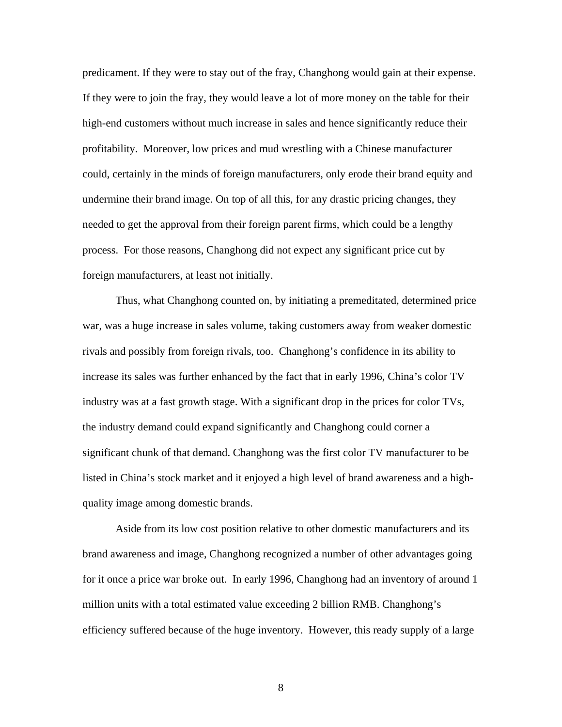predicament. If they were to stay out of the fray, Changhong would gain at their expense. If they were to join the fray, they would leave a lot of more money on the table for their high-end customers without much increase in sales and hence significantly reduce their profitability. Moreover, low prices and mud wrestling with a Chinese manufacturer could, certainly in the minds of foreign manufacturers, only erode their brand equity and undermine their brand image. On top of all this, for any drastic pricing changes, they needed to get the approval from their foreign parent firms, which could be a lengthy process. For those reasons, Changhong did not expect any significant price cut by foreign manufacturers, at least not initially.

Thus, what Changhong counted on, by initiating a premeditated, determined price war, was a huge increase in sales volume, taking customers away from weaker domestic rivals and possibly from foreign rivals, too. Changhong's confidence in its ability to increase its sales was further enhanced by the fact that in early 1996, China's color TV industry was at a fast growth stage. With a significant drop in the prices for color TVs, the industry demand could expand significantly and Changhong could corner a significant chunk of that demand. Changhong was the first color TV manufacturer to be listed in China's stock market and it enjoyed a high level of brand awareness and a highquality image among domestic brands.

Aside from its low cost position relative to other domestic manufacturers and its brand awareness and image, Changhong recognized a number of other advantages going for it once a price war broke out. In early 1996, Changhong had an inventory of around 1 million units with a total estimated value exceeding 2 billion RMB. Changhong's efficiency suffered because of the huge inventory. However, this ready supply of a large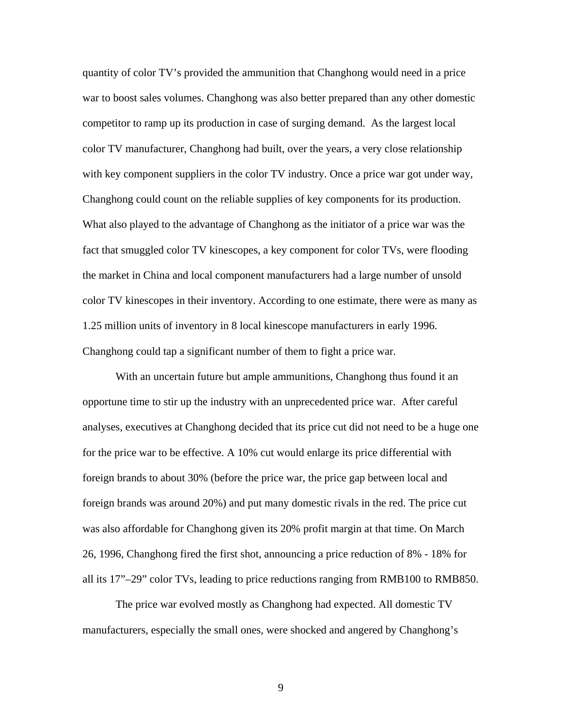quantity of color TV's provided the ammunition that Changhong would need in a price war to boost sales volumes. Changhong was also better prepared than any other domestic competitor to ramp up its production in case of surging demand. As the largest local color TV manufacturer, Changhong had built, over the years, a very close relationship with key component suppliers in the color TV industry. Once a price war got under way, Changhong could count on the reliable supplies of key components for its production. What also played to the advantage of Changhong as the initiator of a price war was the fact that smuggled color TV kinescopes, a key component for color TVs, were flooding the market in China and local component manufacturers had a large number of unsold color TV kinescopes in their inventory. According to one estimate, there were as many as 1.25 million units of inventory in 8 local kinescope manufacturers in early 1996. Changhong could tap a significant number of them to fight a price war.

With an uncertain future but ample ammunitions, Changhong thus found it an opportune time to stir up the industry with an unprecedented price war. After careful analyses, executives at Changhong decided that its price cut did not need to be a huge one for the price war to be effective. A 10% cut would enlarge its price differential with foreign brands to about 30% (before the price war, the price gap between local and foreign brands was around 20%) and put many domestic rivals in the red. The price cut was also affordable for Changhong given its 20% profit margin at that time. On March 26, 1996, Changhong fired the first shot, announcing a price reduction of 8% - 18% for all its 17"–29" color TVs, leading to price reductions ranging from RMB100 to RMB850.

The price war evolved mostly as Changhong had expected. All domestic TV manufacturers, especially the small ones, were shocked and angered by Changhong's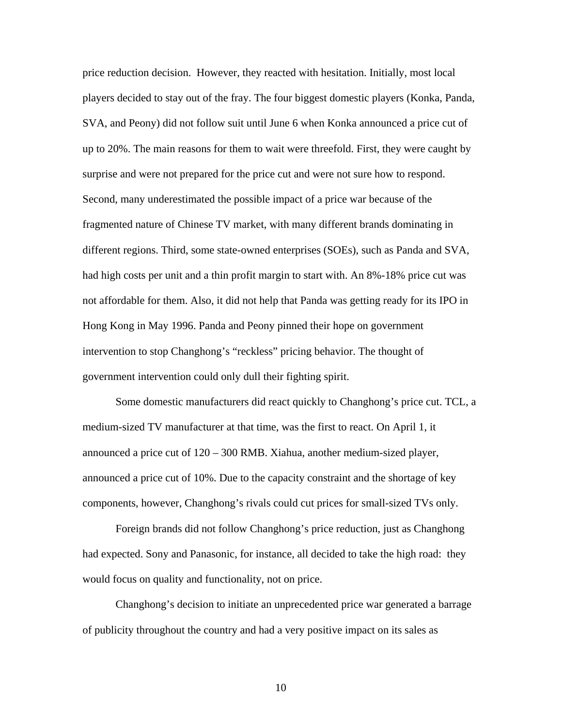price reduction decision. However, they reacted with hesitation. Initially, most local players decided to stay out of the fray. The four biggest domestic players (Konka, Panda, SVA, and Peony) did not follow suit until June 6 when Konka announced a price cut of up to 20%. The main reasons for them to wait were threefold. First, they were caught by surprise and were not prepared for the price cut and were not sure how to respond. Second, many underestimated the possible impact of a price war because of the fragmented nature of Chinese TV market, with many different brands dominating in different regions. Third, some state-owned enterprises (SOEs), such as Panda and SVA, had high costs per unit and a thin profit margin to start with. An 8%-18% price cut was not affordable for them. Also, it did not help that Panda was getting ready for its IPO in Hong Kong in May 1996. Panda and Peony pinned their hope on government intervention to stop Changhong's "reckless" pricing behavior. The thought of government intervention could only dull their fighting spirit.

Some domestic manufacturers did react quickly to Changhong's price cut. TCL, a medium-sized TV manufacturer at that time, was the first to react. On April 1, it announced a price cut of 120 – 300 RMB. Xiahua, another medium-sized player, announced a price cut of 10%. Due to the capacity constraint and the shortage of key components, however, Changhong's rivals could cut prices for small-sized TVs only.

Foreign brands did not follow Changhong's price reduction, just as Changhong had expected. Sony and Panasonic, for instance, all decided to take the high road: they would focus on quality and functionality, not on price.

Changhong's decision to initiate an unprecedented price war generated a barrage of publicity throughout the country and had a very positive impact on its sales as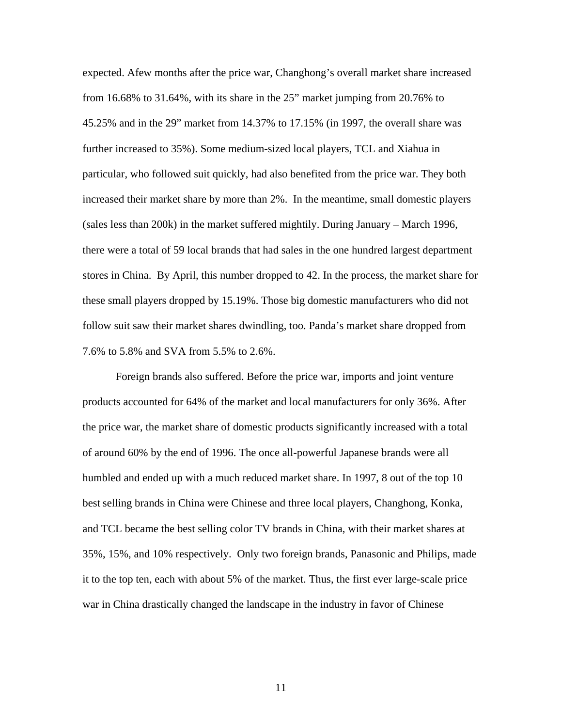expected. Afew months after the price war, Changhong's overall market share increased from 16.68% to 31.64%, with its share in the 25" market jumping from 20.76% to 45.25% and in the 29" market from 14.37% to 17.15% (in 1997, the overall share was further increased to 35%). Some medium-sized local players, TCL and Xiahua in particular, who followed suit quickly, had also benefited from the price war. They both increased their market share by more than 2%. In the meantime, small domestic players (sales less than 200k) in the market suffered mightily. During January – March 1996, there were a total of 59 local brands that had sales in the one hundred largest department stores in China. By April, this number dropped to 42. In the process, the market share for these small players dropped by 15.19%. Those big domestic manufacturers who did not follow suit saw their market shares dwindling, too. Panda's market share dropped from 7.6% to 5.8% and SVA from 5.5% to 2.6%.

Foreign brands also suffered. Before the price war, imports and joint venture products accounted for 64% of the market and local manufacturers for only 36%. After the price war, the market share of domestic products significantly increased with a total of around 60% by the end of 1996. The once all-powerful Japanese brands were all humbled and ended up with a much reduced market share. In 1997, 8 out of the top 10 best selling brands in China were Chinese and three local players, Changhong, Konka, and TCL became the best selling color TV brands in China, with their market shares at 35%, 15%, and 10% respectively. Only two foreign brands, Panasonic and Philips, made it to the top ten, each with about 5% of the market. Thus, the first ever large-scale price war in China drastically changed the landscape in the industry in favor of Chinese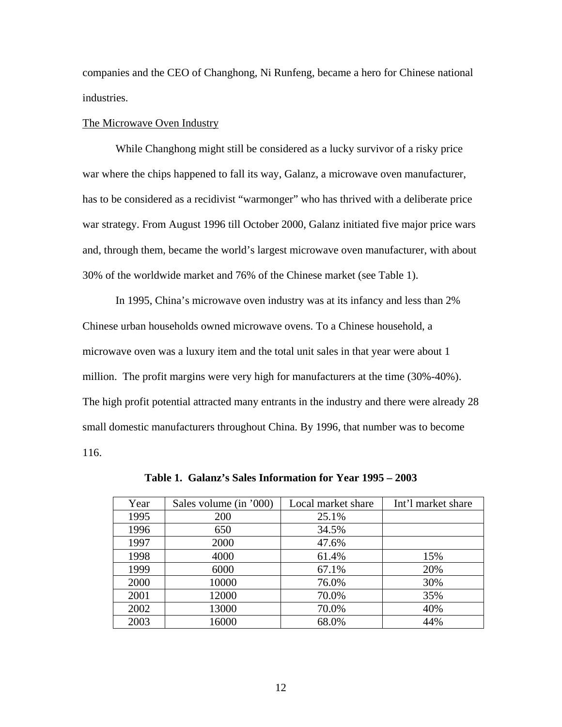companies and the CEO of Changhong, Ni Runfeng, became a hero for Chinese national industries.

#### The Microwave Oven Industry

While Changhong might still be considered as a lucky survivor of a risky price war where the chips happened to fall its way, Galanz, a microwave oven manufacturer, has to be considered as a recidivist "warmonger" who has thrived with a deliberate price war strategy. From August 1996 till October 2000, Galanz initiated five major price wars and, through them, became the world's largest microwave oven manufacturer, with about 30% of the worldwide market and 76% of the Chinese market (see Table 1).

In 1995, China's microwave oven industry was at its infancy and less than 2% Chinese urban households owned microwave ovens. To a Chinese household, a microwave oven was a luxury item and the total unit sales in that year were about 1 million. The profit margins were very high for manufacturers at the time (30%-40%). The high profit potential attracted many entrants in the industry and there were already 28 small domestic manufacturers throughout China. By 1996, that number was to become 116.

| Year | Sales volume (in '000) | Local market share | Int'l market share |
|------|------------------------|--------------------|--------------------|
| 1995 | 200                    | 25.1%              |                    |
| 1996 | 650                    | 34.5%              |                    |
| 1997 | 2000                   | 47.6%              |                    |
| 1998 | 4000                   | 61.4%              | 15%                |
| 1999 | 6000                   | 67.1%              | 20%                |
| 2000 | 10000                  | 76.0%              | 30%                |
| 2001 | 12000                  | 70.0%              | 35%                |
| 2002 | 13000                  | 70.0%              | 40%                |
| 2003 | 16000                  | 68.0%              | 44%                |

**Table 1. Galanz's Sales Information for Year 1995 – 2003**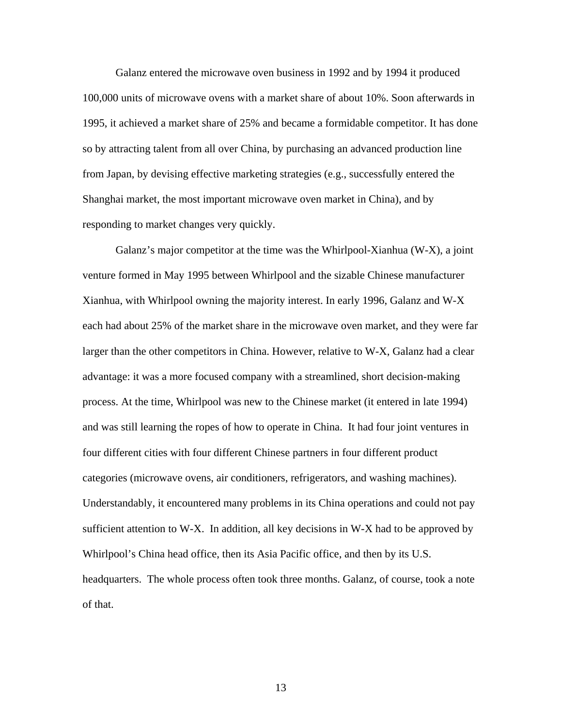Galanz entered the microwave oven business in 1992 and by 1994 it produced 100,000 units of microwave ovens with a market share of about 10%. Soon afterwards in 1995, it achieved a market share of 25% and became a formidable competitor. It has done so by attracting talent from all over China, by purchasing an advanced production line from Japan, by devising effective marketing strategies (e.g., successfully entered the Shanghai market, the most important microwave oven market in China), and by responding to market changes very quickly.

Galanz's major competitor at the time was the Whirlpool-Xianhua (W-X), a joint venture formed in May 1995 between Whirlpool and the sizable Chinese manufacturer Xianhua, with Whirlpool owning the majority interest. In early 1996, Galanz and W-X each had about 25% of the market share in the microwave oven market, and they were far larger than the other competitors in China. However, relative to W-X, Galanz had a clear advantage: it was a more focused company with a streamlined, short decision-making process. At the time, Whirlpool was new to the Chinese market (it entered in late 1994) and was still learning the ropes of how to operate in China. It had four joint ventures in four different cities with four different Chinese partners in four different product categories (microwave ovens, air conditioners, refrigerators, and washing machines). Understandably, it encountered many problems in its China operations and could not pay sufficient attention to W-X. In addition, all key decisions in W-X had to be approved by Whirlpool's China head office, then its Asia Pacific office, and then by its U.S. headquarters. The whole process often took three months. Galanz, of course, took a note of that.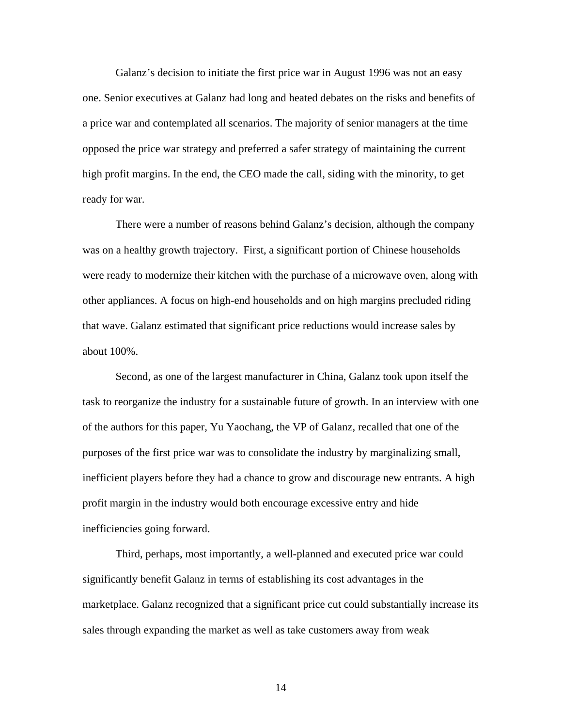Galanz's decision to initiate the first price war in August 1996 was not an easy one. Senior executives at Galanz had long and heated debates on the risks and benefits of a price war and contemplated all scenarios. The majority of senior managers at the time opposed the price war strategy and preferred a safer strategy of maintaining the current high profit margins. In the end, the CEO made the call, siding with the minority, to get ready for war.

There were a number of reasons behind Galanz's decision, although the company was on a healthy growth trajectory. First, a significant portion of Chinese households were ready to modernize their kitchen with the purchase of a microwave oven, along with other appliances. A focus on high-end households and on high margins precluded riding that wave. Galanz estimated that significant price reductions would increase sales by about 100%.

Second, as one of the largest manufacturer in China, Galanz took upon itself the task to reorganize the industry for a sustainable future of growth. In an interview with one of the authors for this paper, Yu Yaochang, the VP of Galanz, recalled that one of the purposes of the first price war was to consolidate the industry by marginalizing small, inefficient players before they had a chance to grow and discourage new entrants. A high profit margin in the industry would both encourage excessive entry and hide inefficiencies going forward.

Third, perhaps, most importantly, a well-planned and executed price war could significantly benefit Galanz in terms of establishing its cost advantages in the marketplace. Galanz recognized that a significant price cut could substantially increase its sales through expanding the market as well as take customers away from weak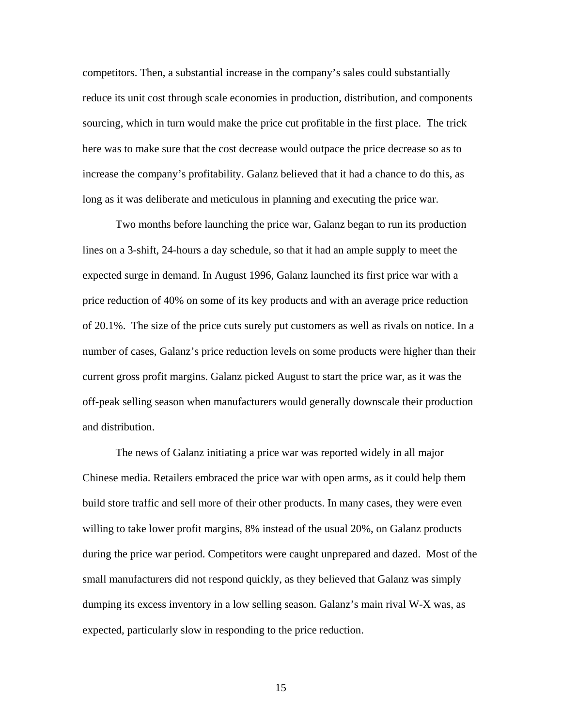competitors. Then, a substantial increase in the company's sales could substantially reduce its unit cost through scale economies in production, distribution, and components sourcing, which in turn would make the price cut profitable in the first place. The trick here was to make sure that the cost decrease would outpace the price decrease so as to increase the company's profitability. Galanz believed that it had a chance to do this, as long as it was deliberate and meticulous in planning and executing the price war.

Two months before launching the price war, Galanz began to run its production lines on a 3-shift, 24-hours a day schedule, so that it had an ample supply to meet the expected surge in demand. In August 1996, Galanz launched its first price war with a price reduction of 40% on some of its key products and with an average price reduction of 20.1%. The size of the price cuts surely put customers as well as rivals on notice. In a number of cases, Galanz's price reduction levels on some products were higher than their current gross profit margins. Galanz picked August to start the price war, as it was the off-peak selling season when manufacturers would generally downscale their production and distribution.

The news of Galanz initiating a price war was reported widely in all major Chinese media. Retailers embraced the price war with open arms, as it could help them build store traffic and sell more of their other products. In many cases, they were even willing to take lower profit margins, 8% instead of the usual 20%, on Galanz products during the price war period. Competitors were caught unprepared and dazed. Most of the small manufacturers did not respond quickly, as they believed that Galanz was simply dumping its excess inventory in a low selling season. Galanz's main rival W-X was, as expected, particularly slow in responding to the price reduction.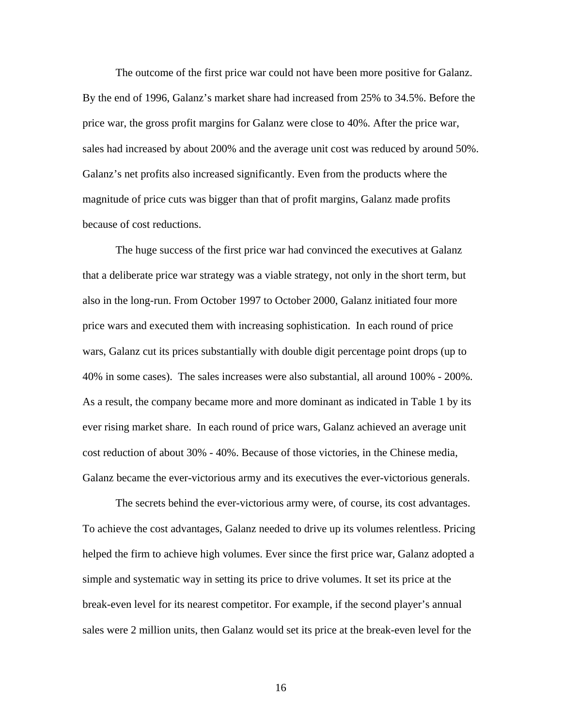The outcome of the first price war could not have been more positive for Galanz. By the end of 1996, Galanz's market share had increased from 25% to 34.5%. Before the price war, the gross profit margins for Galanz were close to 40%. After the price war, sales had increased by about 200% and the average unit cost was reduced by around 50%. Galanz's net profits also increased significantly. Even from the products where the magnitude of price cuts was bigger than that of profit margins, Galanz made profits because of cost reductions.

The huge success of the first price war had convinced the executives at Galanz that a deliberate price war strategy was a viable strategy, not only in the short term, but also in the long-run. From October 1997 to October 2000, Galanz initiated four more price wars and executed them with increasing sophistication. In each round of price wars, Galanz cut its prices substantially with double digit percentage point drops (up to 40% in some cases). The sales increases were also substantial, all around 100% - 200%. As a result, the company became more and more dominant as indicated in Table 1 by its ever rising market share. In each round of price wars, Galanz achieved an average unit cost reduction of about 30% - 40%. Because of those victories, in the Chinese media, Galanz became the ever-victorious army and its executives the ever-victorious generals.

The secrets behind the ever-victorious army were, of course, its cost advantages. To achieve the cost advantages, Galanz needed to drive up its volumes relentless. Pricing helped the firm to achieve high volumes. Ever since the first price war, Galanz adopted a simple and systematic way in setting its price to drive volumes. It set its price at the break-even level for its nearest competitor. For example, if the second player's annual sales were 2 million units, then Galanz would set its price at the break-even level for the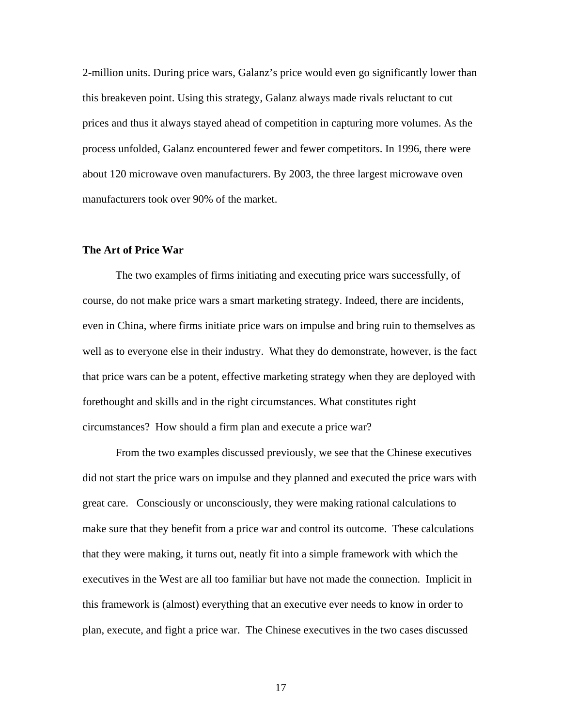2-million units. During price wars, Galanz's price would even go significantly lower than this breakeven point. Using this strategy, Galanz always made rivals reluctant to cut prices and thus it always stayed ahead of competition in capturing more volumes. As the process unfolded, Galanz encountered fewer and fewer competitors. In 1996, there were about 120 microwave oven manufacturers. By 2003, the three largest microwave oven manufacturers took over 90% of the market.

# **The Art of Price War**

The two examples of firms initiating and executing price wars successfully, of course, do not make price wars a smart marketing strategy. Indeed, there are incidents, even in China, where firms initiate price wars on impulse and bring ruin to themselves as well as to everyone else in their industry. What they do demonstrate, however, is the fact that price wars can be a potent, effective marketing strategy when they are deployed with forethought and skills and in the right circumstances. What constitutes right circumstances? How should a firm plan and execute a price war?

From the two examples discussed previously, we see that the Chinese executives did not start the price wars on impulse and they planned and executed the price wars with great care. Consciously or unconsciously, they were making rational calculations to make sure that they benefit from a price war and control its outcome. These calculations that they were making, it turns out, neatly fit into a simple framework with which the executives in the West are all too familiar but have not made the connection. Implicit in this framework is (almost) everything that an executive ever needs to know in order to plan, execute, and fight a price war. The Chinese executives in the two cases discussed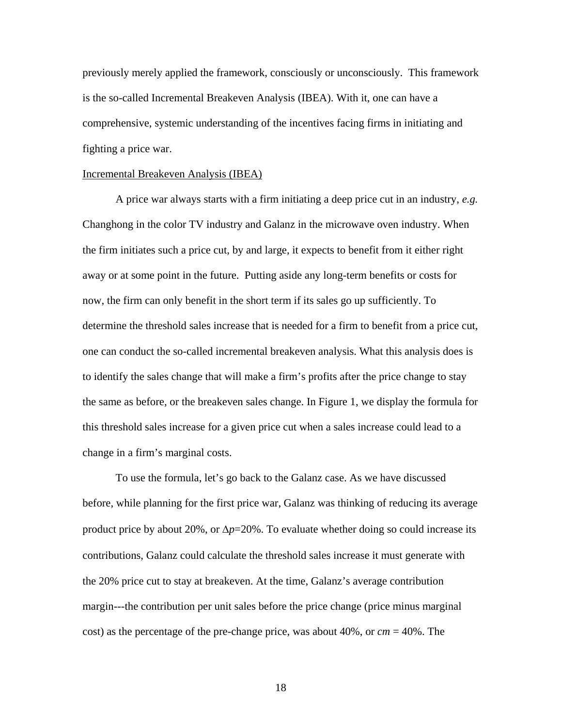previously merely applied the framework, consciously or unconsciously. This framework is the so-called Incremental Breakeven Analysis (IBEA). With it, one can have a comprehensive, systemic understanding of the incentives facing firms in initiating and fighting a price war.

### Incremental Breakeven Analysis (IBEA)

A price war always starts with a firm initiating a deep price cut in an industry, *e.g.* Changhong in the color TV industry and Galanz in the microwave oven industry. When the firm initiates such a price cut, by and large, it expects to benefit from it either right away or at some point in the future. Putting aside any long-term benefits or costs for now, the firm can only benefit in the short term if its sales go up sufficiently. To determine the threshold sales increase that is needed for a firm to benefit from a price cut, one can conduct the so-called incremental breakeven analysis. What this analysis does is to identify the sales change that will make a firm's profits after the price change to stay the same as before, or the breakeven sales change. In Figure 1, we display the formula for this threshold sales increase for a given price cut when a sales increase could lead to a change in a firm's marginal costs.

To use the formula, let's go back to the Galanz case. As we have discussed before, while planning for the first price war, Galanz was thinking of reducing its average product price by about 20%, or  $\Delta p = 20\%$ . To evaluate whether doing so could increase its contributions, Galanz could calculate the threshold sales increase it must generate with the 20% price cut to stay at breakeven. At the time, Galanz's average contribution margin---the contribution per unit sales before the price change (price minus marginal cost) as the percentage of the pre-change price, was about 40%, or *cm* = 40%. The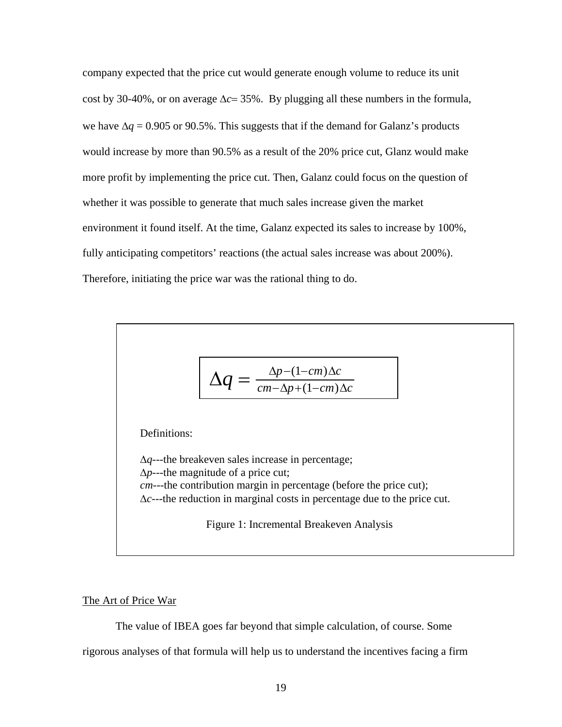company expected that the price cut would generate enough volume to reduce its unit cost by 30-40%, or on average  $\Delta c = 35\%$ . By plugging all these numbers in the formula, we have  $\Delta q = 0.905$  or 90.5%. This suggests that if the demand for Galanz's products would increase by more than 90.5% as a result of the 20% price cut, Glanz would make more profit by implementing the price cut. Then, Galanz could focus on the question of whether it was possible to generate that much sales increase given the market environment it found itself. At the time, Galanz expected its sales to increase by 100%, fully anticipating competitors' reactions (the actual sales increase was about 200%). Therefore, initiating the price war was the rational thing to do.

$$
\Delta q = \frac{\Delta p - (1 - cm)\Delta c}{cm - \Delta p + (1 - cm)\Delta c}
$$

Definitions:

Δ*q*---the breakeven sales increase in percentage;

Δ*p*---the magnitude of a price cut;

*cm*---the contribution margin in percentage (before the price cut);

Δ*c*---the reduction in marginal costs in percentage due to the price cut.

Figure 1: Incremental Breakeven Analysis

## The Art of Price War

The value of IBEA goes far beyond that simple calculation, of course. Some

rigorous analyses of that formula will help us to understand the incentives facing a firm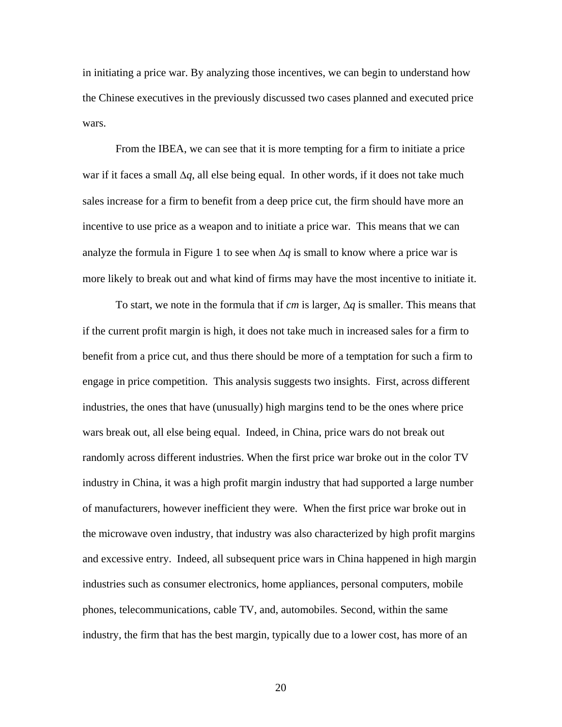in initiating a price war. By analyzing those incentives, we can begin to understand how the Chinese executives in the previously discussed two cases planned and executed price wars.

From the IBEA, we can see that it is more tempting for a firm to initiate a price war if it faces a small  $\Delta q$ , all else being equal. In other words, if it does not take much sales increase for a firm to benefit from a deep price cut, the firm should have more an incentive to use price as a weapon and to initiate a price war. This means that we can analyze the formula in Figure 1 to see when  $\Delta q$  is small to know where a price war is more likely to break out and what kind of firms may have the most incentive to initiate it.

 To start, we note in the formula that if *cm* is larger, Δ*q* is smaller. This means that if the current profit margin is high, it does not take much in increased sales for a firm to benefit from a price cut, and thus there should be more of a temptation for such a firm to engage in price competition. This analysis suggests two insights. First, across different industries, the ones that have (unusually) high margins tend to be the ones where price wars break out, all else being equal. Indeed, in China, price wars do not break out randomly across different industries. When the first price war broke out in the color TV industry in China, it was a high profit margin industry that had supported a large number of manufacturers, however inefficient they were. When the first price war broke out in the microwave oven industry, that industry was also characterized by high profit margins and excessive entry. Indeed, all subsequent price wars in China happened in high margin industries such as consumer electronics, home appliances, personal computers, mobile phones, telecommunications, cable TV, and, automobiles. Second, within the same industry, the firm that has the best margin, typically due to a lower cost, has more of an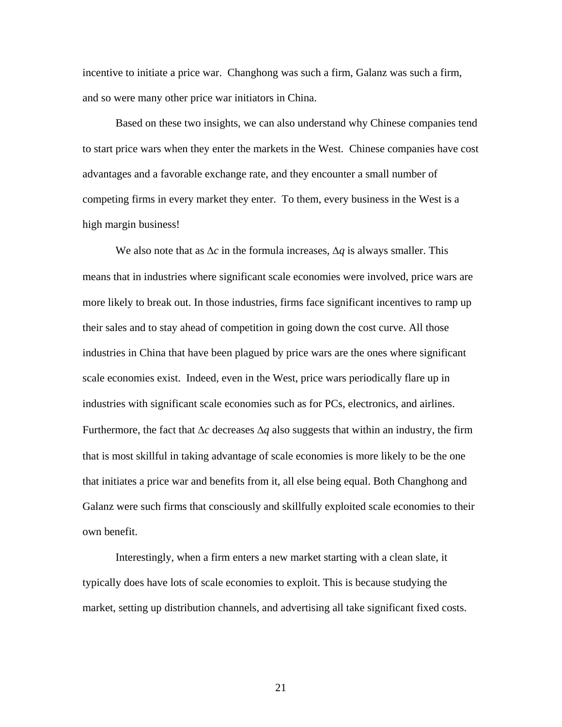incentive to initiate a price war. Changhong was such a firm, Galanz was such a firm, and so were many other price war initiators in China.

 Based on these two insights, we can also understand why Chinese companies tend to start price wars when they enter the markets in the West. Chinese companies have cost advantages and a favorable exchange rate, and they encounter a small number of competing firms in every market they enter. To them, every business in the West is a high margin business!

We also note that as Δ*c* in the formula increases, Δ*q* is always smaller. This means that in industries where significant scale economies were involved, price wars are more likely to break out. In those industries, firms face significant incentives to ramp up their sales and to stay ahead of competition in going down the cost curve. All those industries in China that have been plagued by price wars are the ones where significant scale economies exist. Indeed, even in the West, price wars periodically flare up in industries with significant scale economies such as for PCs, electronics, and airlines. Furthermore, the fact that Δ*c* decreases Δ*q* also suggests that within an industry, the firm that is most skillful in taking advantage of scale economies is more likely to be the one that initiates a price war and benefits from it, all else being equal. Both Changhong and Galanz were such firms that consciously and skillfully exploited scale economies to their own benefit.

Interestingly, when a firm enters a new market starting with a clean slate, it typically does have lots of scale economies to exploit. This is because studying the market, setting up distribution channels, and advertising all take significant fixed costs.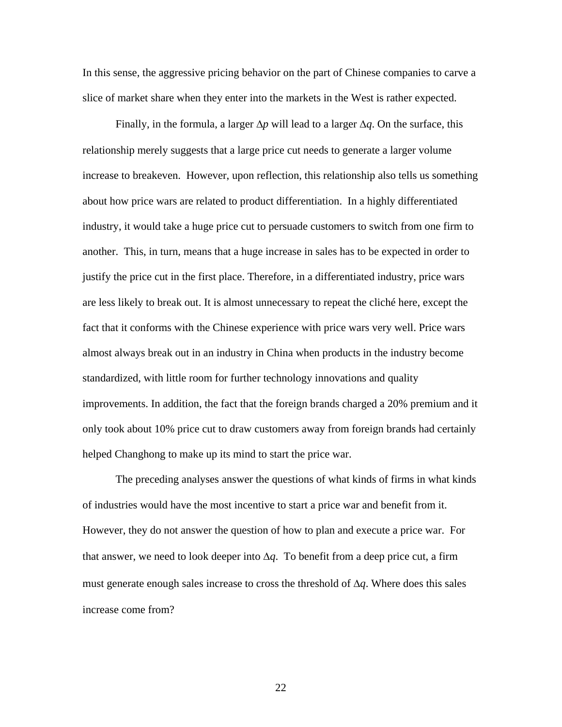In this sense, the aggressive pricing behavior on the part of Chinese companies to carve a slice of market share when they enter into the markets in the West is rather expected.

Finally, in the formula, a larger Δ*p* will lead to a larger Δ*q*. On the surface, this relationship merely suggests that a large price cut needs to generate a larger volume increase to breakeven. However, upon reflection, this relationship also tells us something about how price wars are related to product differentiation. In a highly differentiated industry, it would take a huge price cut to persuade customers to switch from one firm to another. This, in turn, means that a huge increase in sales has to be expected in order to justify the price cut in the first place. Therefore, in a differentiated industry, price wars are less likely to break out. It is almost unnecessary to repeat the cliché here, except the fact that it conforms with the Chinese experience with price wars very well. Price wars almost always break out in an industry in China when products in the industry become standardized, with little room for further technology innovations and quality improvements. In addition, the fact that the foreign brands charged a 20% premium and it only took about 10% price cut to draw customers away from foreign brands had certainly helped Changhong to make up its mind to start the price war.

The preceding analyses answer the questions of what kinds of firms in what kinds of industries would have the most incentive to start a price war and benefit from it. However, they do not answer the question of how to plan and execute a price war. For that answer, we need to look deeper into  $\Delta q$ . To benefit from a deep price cut, a firm must generate enough sales increase to cross the threshold of Δ*q*. Where does this sales increase come from?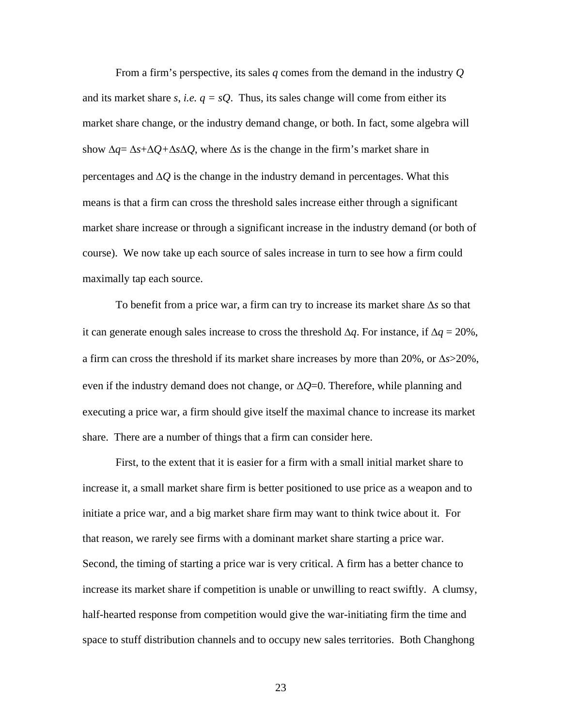From a firm's perspective, its sales *q* comes from the demand in the industry *Q*  and its market share *s*, *i.e.*  $q = sQ$ . Thus, its sales change will come from either its market share change, or the industry demand change, or both. In fact, some algebra will show  $\Delta q = \Delta s + \Delta Q + \Delta s \Delta Q$ , where  $\Delta s$  is the change in the firm's market share in percentages and  $\Delta Q$  is the change in the industry demand in percentages. What this means is that a firm can cross the threshold sales increase either through a significant market share increase or through a significant increase in the industry demand (or both of course). We now take up each source of sales increase in turn to see how a firm could maximally tap each source.

To benefit from a price war, a firm can try to increase its market share Δ*s* so that it can generate enough sales increase to cross the threshold  $\Delta q$ . For instance, if  $\Delta q = 20\%$ , a firm can cross the threshold if its market share increases by more than 20%, or Δ*s*>20%, even if the industry demand does not change, or  $\Delta Q=0$ . Therefore, while planning and executing a price war, a firm should give itself the maximal chance to increase its market share. There are a number of things that a firm can consider here.

First, to the extent that it is easier for a firm with a small initial market share to increase it, a small market share firm is better positioned to use price as a weapon and to initiate a price war, and a big market share firm may want to think twice about it. For that reason, we rarely see firms with a dominant market share starting a price war. Second, the timing of starting a price war is very critical. A firm has a better chance to increase its market share if competition is unable or unwilling to react swiftly. A clumsy, half-hearted response from competition would give the war-initiating firm the time and space to stuff distribution channels and to occupy new sales territories. Both Changhong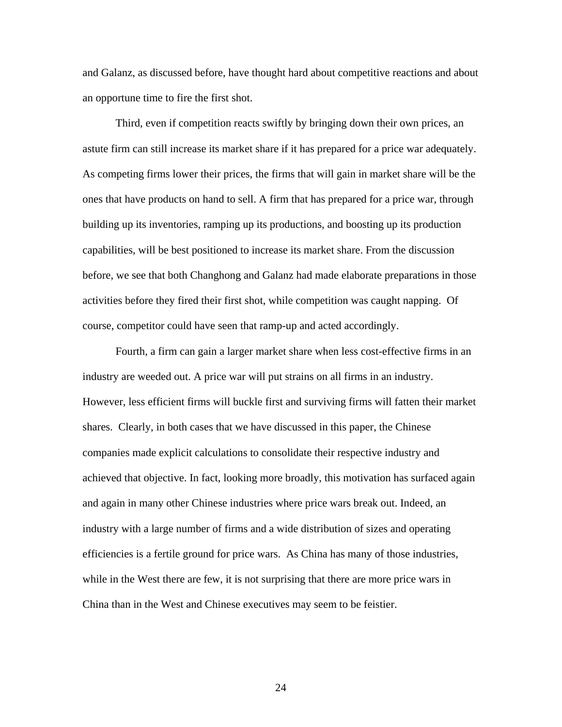and Galanz, as discussed before, have thought hard about competitive reactions and about an opportune time to fire the first shot.

Third, even if competition reacts swiftly by bringing down their own prices, an astute firm can still increase its market share if it has prepared for a price war adequately. As competing firms lower their prices, the firms that will gain in market share will be the ones that have products on hand to sell. A firm that has prepared for a price war, through building up its inventories, ramping up its productions, and boosting up its production capabilities, will be best positioned to increase its market share. From the discussion before, we see that both Changhong and Galanz had made elaborate preparations in those activities before they fired their first shot, while competition was caught napping. Of course, competitor could have seen that ramp-up and acted accordingly.

Fourth, a firm can gain a larger market share when less cost-effective firms in an industry are weeded out. A price war will put strains on all firms in an industry. However, less efficient firms will buckle first and surviving firms will fatten their market shares. Clearly, in both cases that we have discussed in this paper, the Chinese companies made explicit calculations to consolidate their respective industry and achieved that objective. In fact, looking more broadly, this motivation has surfaced again and again in many other Chinese industries where price wars break out. Indeed, an industry with a large number of firms and a wide distribution of sizes and operating efficiencies is a fertile ground for price wars. As China has many of those industries, while in the West there are few, it is not surprising that there are more price wars in China than in the West and Chinese executives may seem to be feistier.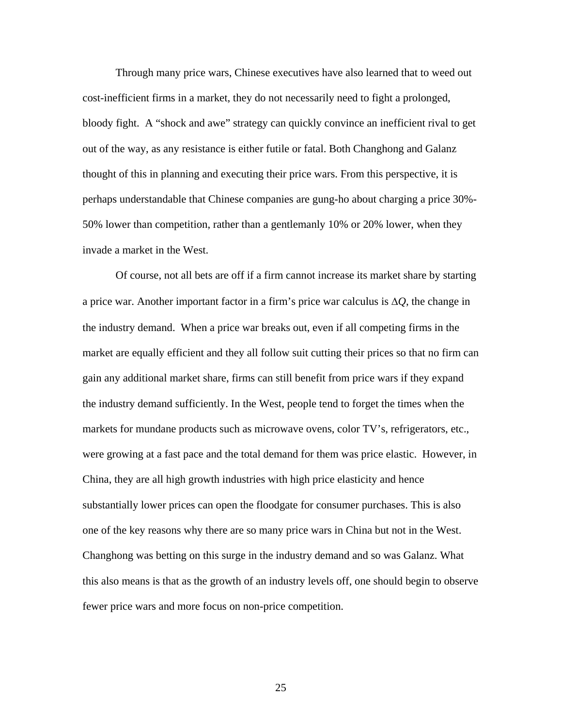Through many price wars, Chinese executives have also learned that to weed out cost-inefficient firms in a market, they do not necessarily need to fight a prolonged, bloody fight. A "shock and awe" strategy can quickly convince an inefficient rival to get out of the way, as any resistance is either futile or fatal. Both Changhong and Galanz thought of this in planning and executing their price wars. From this perspective, it is perhaps understandable that Chinese companies are gung-ho about charging a price 30%- 50% lower than competition, rather than a gentlemanly 10% or 20% lower, when they invade a market in the West.

 Of course, not all bets are off if a firm cannot increase its market share by starting a price war. Another important factor in a firm's price war calculus is Δ*Q*, the change in the industry demand. When a price war breaks out, even if all competing firms in the market are equally efficient and they all follow suit cutting their prices so that no firm can gain any additional market share, firms can still benefit from price wars if they expand the industry demand sufficiently. In the West, people tend to forget the times when the markets for mundane products such as microwave ovens, color TV's, refrigerators, etc., were growing at a fast pace and the total demand for them was price elastic. However, in China, they are all high growth industries with high price elasticity and hence substantially lower prices can open the floodgate for consumer purchases. This is also one of the key reasons why there are so many price wars in China but not in the West. Changhong was betting on this surge in the industry demand and so was Galanz. What this also means is that as the growth of an industry levels off, one should begin to observe fewer price wars and more focus on non-price competition.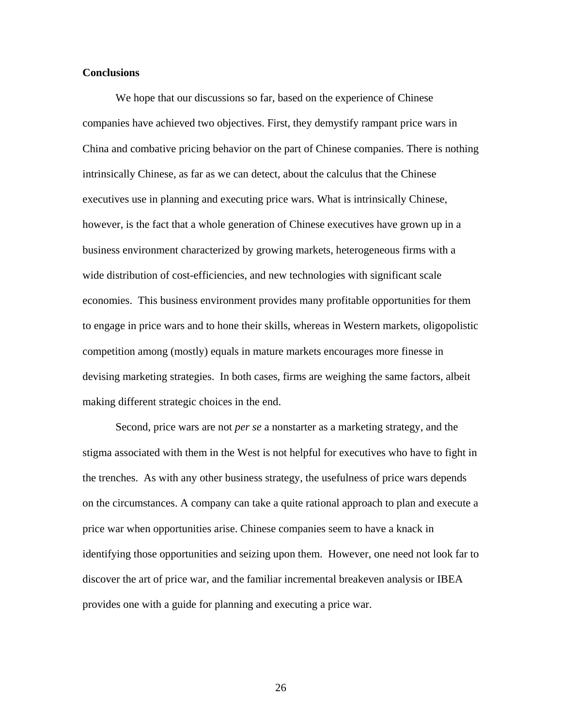## **Conclusions**

We hope that our discussions so far, based on the experience of Chinese companies have achieved two objectives. First, they demystify rampant price wars in China and combative pricing behavior on the part of Chinese companies. There is nothing intrinsically Chinese, as far as we can detect, about the calculus that the Chinese executives use in planning and executing price wars. What is intrinsically Chinese, however, is the fact that a whole generation of Chinese executives have grown up in a business environment characterized by growing markets, heterogeneous firms with a wide distribution of cost-efficiencies, and new technologies with significant scale economies. This business environment provides many profitable opportunities for them to engage in price wars and to hone their skills, whereas in Western markets, oligopolistic competition among (mostly) equals in mature markets encourages more finesse in devising marketing strategies. In both cases, firms are weighing the same factors, albeit making different strategic choices in the end.

Second, price wars are not *per se* a nonstarter as a marketing strategy, and the stigma associated with them in the West is not helpful for executives who have to fight in the trenches. As with any other business strategy, the usefulness of price wars depends on the circumstances. A company can take a quite rational approach to plan and execute a price war when opportunities arise. Chinese companies seem to have a knack in identifying those opportunities and seizing upon them. However, one need not look far to discover the art of price war, and the familiar incremental breakeven analysis or IBEA provides one with a guide for planning and executing a price war.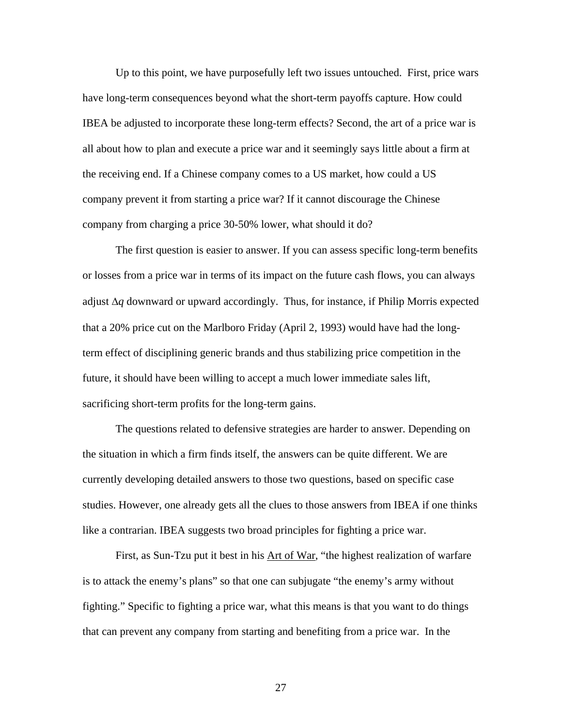Up to this point, we have purposefully left two issues untouched. First, price wars have long-term consequences beyond what the short-term payoffs capture. How could IBEA be adjusted to incorporate these long-term effects? Second, the art of a price war is all about how to plan and execute a price war and it seemingly says little about a firm at the receiving end. If a Chinese company comes to a US market, how could a US company prevent it from starting a price war? If it cannot discourage the Chinese company from charging a price 30-50% lower, what should it do?

The first question is easier to answer. If you can assess specific long-term benefits or losses from a price war in terms of its impact on the future cash flows, you can always adjust Δ*q* downward or upward accordingly. Thus, for instance, if Philip Morris expected that a 20% price cut on the Marlboro Friday (April 2, 1993) would have had the longterm effect of disciplining generic brands and thus stabilizing price competition in the future, it should have been willing to accept a much lower immediate sales lift, sacrificing short-term profits for the long-term gains.

The questions related to defensive strategies are harder to answer. Depending on the situation in which a firm finds itself, the answers can be quite different. We are currently developing detailed answers to those two questions, based on specific case studies. However, one already gets all the clues to those answers from IBEA if one thinks like a contrarian. IBEA suggests two broad principles for fighting a price war.

First, as Sun-Tzu put it best in his Art of War, "the highest realization of warfare is to attack the enemy's plans" so that one can subjugate "the enemy's army without fighting." Specific to fighting a price war, what this means is that you want to do things that can prevent any company from starting and benefiting from a price war. In the